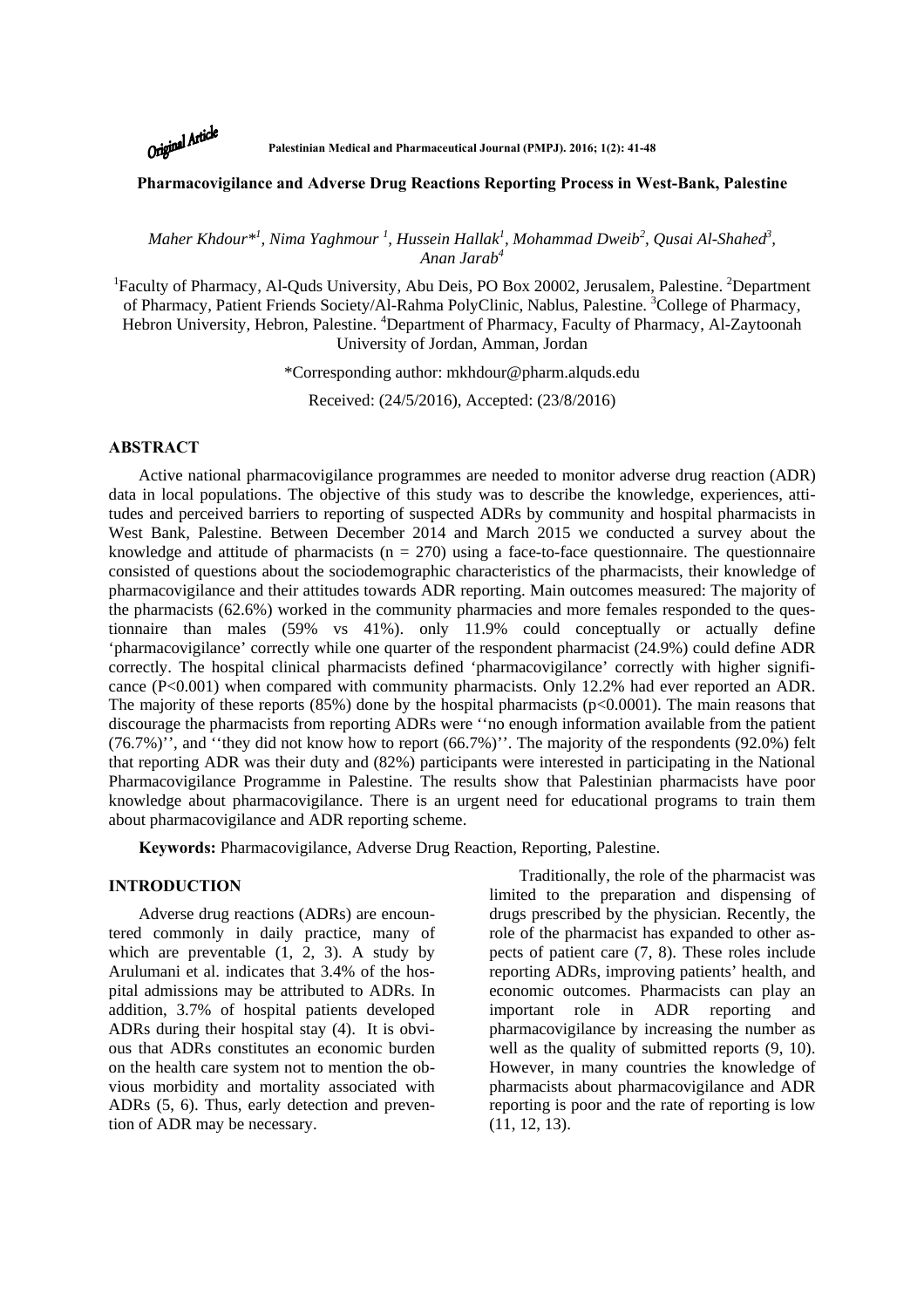Original Article

**Palestinian Medical and Pharmaceutical Journal (PMPJ). 2016; 1(2): 41-48** 

# **Pharmacovigilance and Adverse Drug Reactions Reporting Process in West-Bank, Palestine**

 $M$ aher Khdour $^{*l}$ , Nima Yaghmour  $^{l}$ , Hussein Hallak<sup>1</sup>, Mohammad Dweib $^{2}$ , Qusai Al-Shahed $^{3}$ , *Anan Jarab<sup>4</sup>*

<sup>1</sup>Faculty of Pharmacy, Al-Quds University, Abu Deis, PO Box 20002, Jerusalem, Palestine. <sup>2</sup>Department of Pharmacy, Patient Friends Society/Al-Rahma PolyClinic, Nablus, Palestine. <sup>3</sup>College of Pharmacy, Hebron University, Hebron, Palestine. <sup>4</sup>Department of Pharmacy, Faculty of Pharmacy, Al-Zaytoonah University of Jordan, Amman, Jordan

\*Corresponding author: mkhdour@pharm.alquds.edu

Received: (24/5/2016), Accepted: (23/8/2016)

## **ABSTRACT**

Active national pharmacovigilance programmes are needed to monitor adverse drug reaction (ADR) data in local populations. The objective of this study was to describe the knowledge, experiences, attitudes and perceived barriers to reporting of suspected ADRs by community and hospital pharmacists in West Bank, Palestine. Between December 2014 and March 2015 we conducted a survey about the knowledge and attitude of pharmacists ( $n = 270$ ) using a face-to-face questionnaire. The questionnaire consisted of questions about the sociodemographic characteristics of the pharmacists, their knowledge of pharmacovigilance and their attitudes towards ADR reporting. Main outcomes measured: The majority of the pharmacists (62.6%) worked in the community pharmacies and more females responded to the questionnaire than males (59% vs 41%). only 11.9% could conceptually or actually define 'pharmacovigilance' correctly while one quarter of the respondent pharmacist (24.9%) could define ADR correctly. The hospital clinical pharmacists defined 'pharmacovigilance' correctly with higher significance (P<0.001) when compared with community pharmacists. Only 12.2% had ever reported an ADR. The majority of these reports  $(85%)$  done by the hospital pharmacists  $(p<0.0001)$ . The main reasons that discourage the pharmacists from reporting ADRs were ''no enough information available from the patient (76.7%)'', and ''they did not know how to report (66.7%)''. The majority of the respondents (92.0%) felt that reporting ADR was their duty and (82%) participants were interested in participating in the National Pharmacovigilance Programme in Palestine. The results show that Palestinian pharmacists have poor knowledge about pharmacovigilance. There is an urgent need for educational programs to train them about pharmacovigilance and ADR reporting scheme.

**Keywords:** Pharmacovigilance, Adverse Drug Reaction, Reporting, Palestine.

# **INTRODUCTION**

Adverse drug reactions (ADRs) are encountered commonly in daily practice, many of which are preventable  $(1, 2, 3)$ . A study by Arulumani et al. indicates that 3.4% of the hospital admissions may be attributed to ADRs. In addition, 3.7% of hospital patients developed ADRs during their hospital stay (4). It is obvious that ADRs constitutes an economic burden on the health care system not to mention the obvious morbidity and mortality associated with ADRs (5, 6). Thus, early detection and prevention of ADR may be necessary.

Traditionally, the role of the pharmacist was limited to the preparation and dispensing of drugs prescribed by the physician. Recently, the role of the pharmacist has expanded to other aspects of patient care (7, 8). These roles include reporting ADRs, improving patients' health, and economic outcomes. Pharmacists can play an important role in ADR reporting and pharmacovigilance by increasing the number as well as the quality of submitted reports (9, 10). However, in many countries the knowledge of pharmacists about pharmacovigilance and ADR reporting is poor and the rate of reporting is low (11, 12, 13).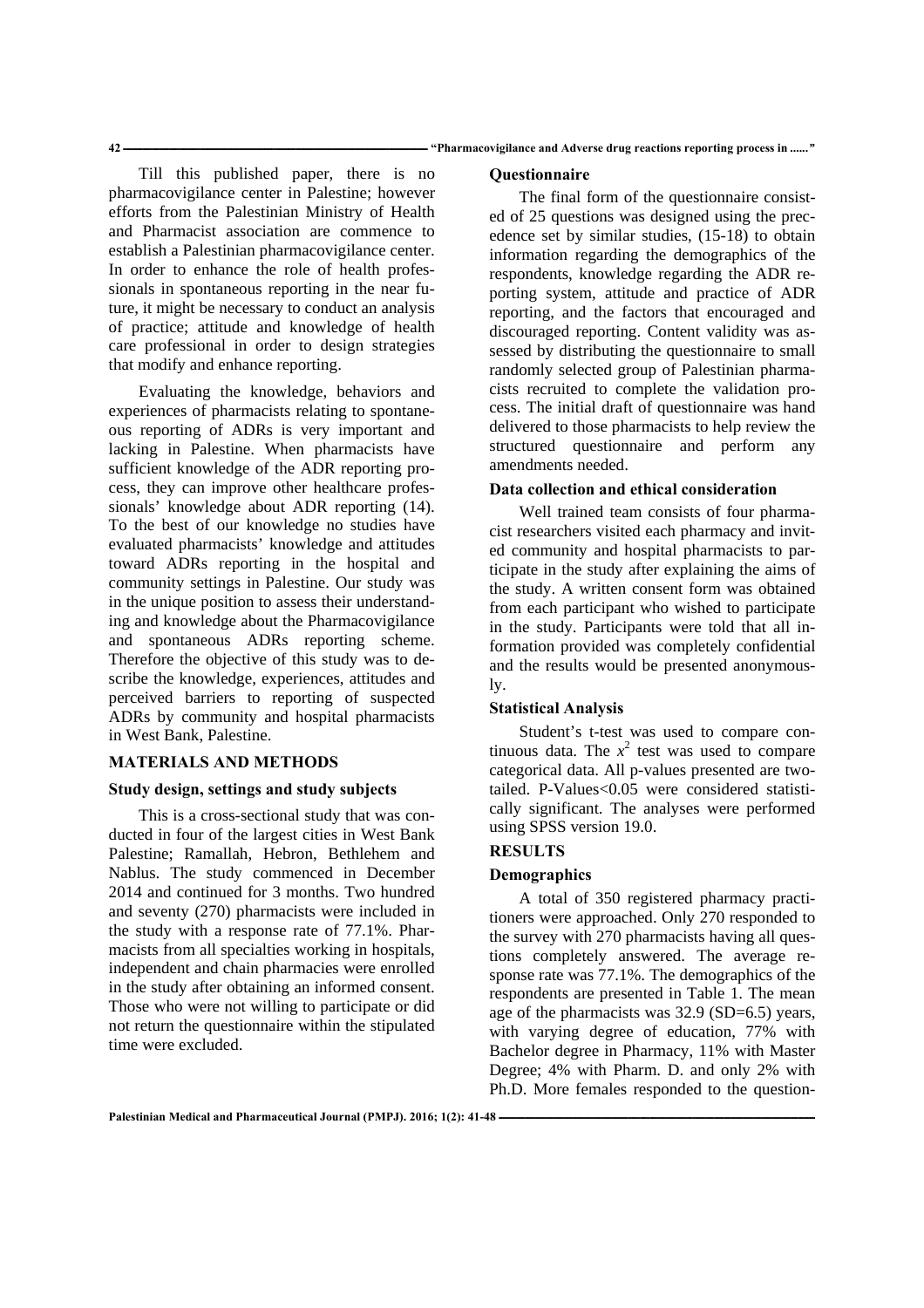Till this published paper, there is no pharmacovigilance center in Palestine; however efforts from the Palestinian Ministry of Health and Pharmacist association are commence to establish a Palestinian pharmacovigilance center. In order to enhance the role of health professionals in spontaneous reporting in the near future, it might be necessary to conduct an analysis of practice; attitude and knowledge of health care professional in order to design strategies that modify and enhance reporting.

Evaluating the knowledge, behaviors and experiences of pharmacists relating to spontaneous reporting of ADRs is very important and lacking in Palestine. When pharmacists have sufficient knowledge of the ADR reporting process, they can improve other healthcare professionals' knowledge about ADR reporting (14). To the best of our knowledge no studies have evaluated pharmacists' knowledge and attitudes toward ADRs reporting in the hospital and community settings in Palestine. Our study was in the unique position to assess their understanding and knowledge about the Pharmacovigilance and spontaneous ADRs reporting scheme. Therefore the objective of this study was to describe the knowledge, experiences, attitudes and perceived barriers to reporting of suspected ADRs by community and hospital pharmacists in West Bank, Palestine.

# **MATERIALS AND METHODS**

# **Study design, settings and study subjects**

This is a cross-sectional study that was conducted in four of the largest cities in West Bank Palestine; Ramallah, Hebron, Bethlehem and Nablus. The study commenced in December 2014 and continued for 3 months. Two hundred and seventy (270) pharmacists were included in the study with a response rate of 77.1%. Pharmacists from all specialties working in hospitals, independent and chain pharmacies were enrolled in the study after obtaining an informed consent. Those who were not willing to participate or did not return the questionnaire within the stipulated time were excluded.

#### **Questionnaire**

The final form of the questionnaire consisted of 25 questions was designed using the precedence set by similar studies, (15-18) to obtain information regarding the demographics of the respondents, knowledge regarding the ADR reporting system, attitude and practice of ADR reporting, and the factors that encouraged and discouraged reporting. Content validity was assessed by distributing the questionnaire to small randomly selected group of Palestinian pharmacists recruited to complete the validation process. The initial draft of questionnaire was hand delivered to those pharmacists to help review the structured questionnaire and perform any amendments needed.

## **Data collection and ethical consideration**

Well trained team consists of four pharmacist researchers visited each pharmacy and invited community and hospital pharmacists to participate in the study after explaining the aims of the study. A written consent form was obtained from each participant who wished to participate in the study. Participants were told that all information provided was completely confidential and the results would be presented anonymously.

#### **Statistical Analysis**

Student's t-test was used to compare continuous data. The  $x^2$  test was used to compare categorical data. All p-values presented are twotailed. P-Values<0.05 were considered statistically significant. The analyses were performed using SPSS version 19.0.

#### **RESULTS**

### **Demographics**

A total of 350 registered pharmacy practitioners were approached. Only 270 responded to the survey with 270 pharmacists having all questions completely answered. The average response rate was 77.1%. The demographics of the respondents are presented in Table 1. The mean age of the pharmacists was 32.9 (SD=6.5) years, with varying degree of education, 77% with Bachelor degree in Pharmacy, 11% with Master Degree; 4% with Pharm. D. and only 2% with Ph.D. More females responded to the question-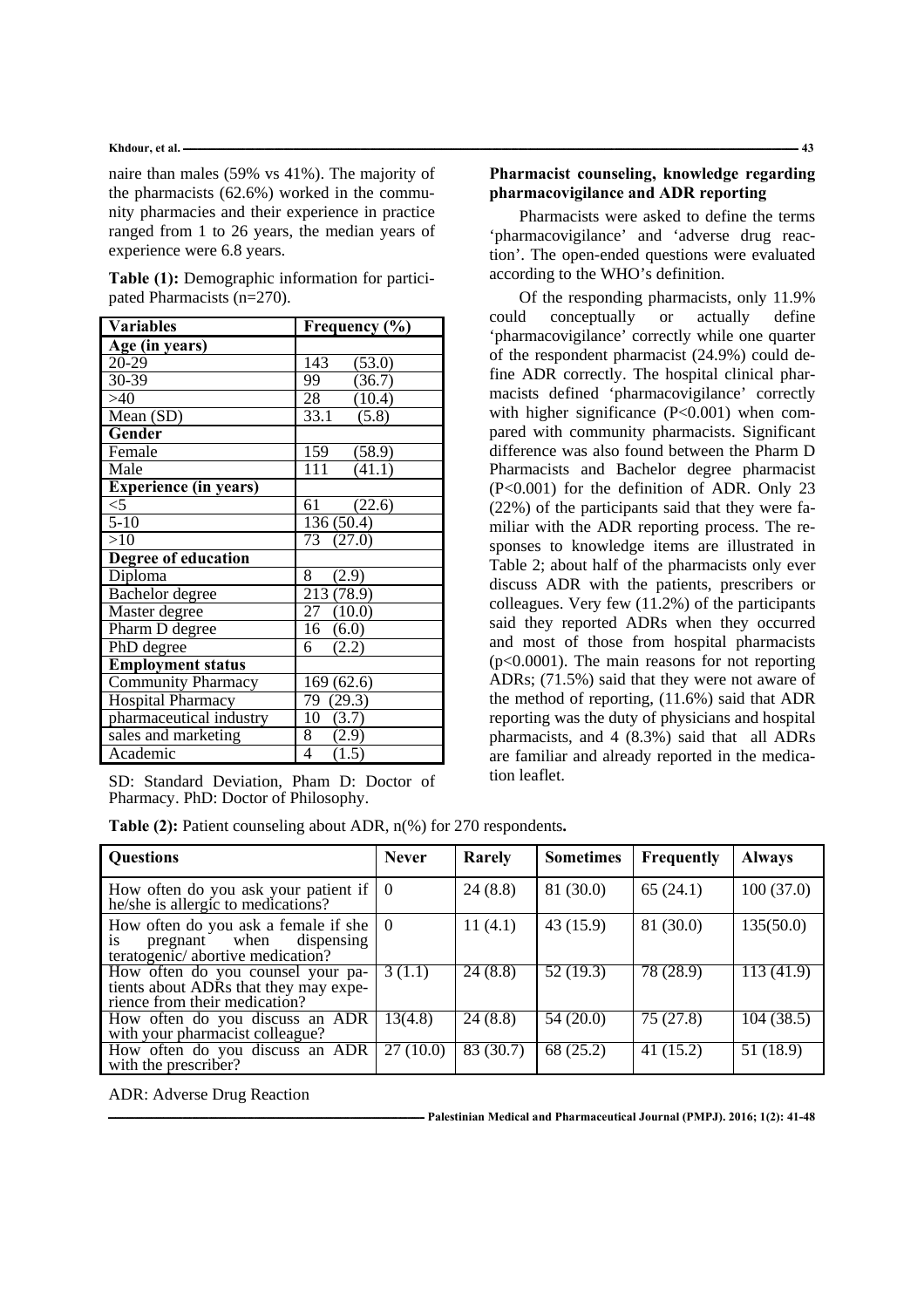#### **Khdour, et al. ـــــــــــــــــــــــــــــــــــــــــــــــــــــــــــــــــــــــــــــــــــــــــــــــــــــــــــــــــــــــــــــــــــــــــــــــــــــــــــــــــــــــــــــــــــــــــــــــــــــــــــــــــــــــــــــــــــــــــــــــــــــــــــــــــ 43**

naire than males (59% vs 41%). The majority of the pharmacists (62.6%) worked in the community pharmacies and their experience in practice ranged from 1 to 26 years, the median years of experience were 6.8 years.

| Table (1): Demographic information for partici- |  |
|-------------------------------------------------|--|
| pated Pharmacists $(n=270)$ .                   |  |

| <b>Variables</b>             | Frequency (%) |  |  |  |
|------------------------------|---------------|--|--|--|
| Age (in years)               |               |  |  |  |
| $20 - 29$                    | 143<br>(53.0) |  |  |  |
| $30 - 39$                    | 99<br>(36.7)  |  |  |  |
| $\overline{>}40$             | 28<br>(10.4)  |  |  |  |
| Mean (SD)                    | 33.1<br>(5.8) |  |  |  |
| Gender                       |               |  |  |  |
| Female                       | 159<br>(58.9) |  |  |  |
| Male                         | 111<br>(41.1) |  |  |  |
| <b>Experience (in years)</b> |               |  |  |  |
| $<$ 5                        | 61<br>(22.6)  |  |  |  |
| $5 - 10$                     | 136 (50.4)    |  |  |  |
| >10                          | 73 (27.0)     |  |  |  |
| Degree of education          |               |  |  |  |
| Diploma                      | 8<br>(2.9)    |  |  |  |
| Bachelor degree              | 213 (78.9)    |  |  |  |
| Master degree                | 27 (10.0)     |  |  |  |
| Pharm D degree               | 16(6.0)       |  |  |  |
| PhD degree                   | 6<br>(2.2)    |  |  |  |
| <b>Employment status</b>     |               |  |  |  |
| <b>Community Pharmacy</b>    | 169(62.6)     |  |  |  |
| Hospital Pharmacy            | 79 (29.3)     |  |  |  |
| pharmaceutical industry      | 10<br>(3.7)   |  |  |  |
| sales and marketing          | 8<br>(2.9)    |  |  |  |
| Academic                     | 4<br>(1.5)    |  |  |  |

SD: Standard Deviation, Pham D: Doctor of Pharmacy. PhD: Doctor of Philosophy.

|  |  |  |  | Table $(2)$ : Patient counseling about ADR, $n$ (%) for 270 respondents. |
|--|--|--|--|--------------------------------------------------------------------------|
|  |  |  |  |                                                                          |

# **Pharmacist counseling, knowledge regarding pharmacovigilance and ADR reporting**

Pharmacists were asked to define the terms 'pharmacovigilance' and 'adverse drug reaction'. The open-ended questions were evaluated according to the WHO's definition.

Of the responding pharmacists, only 11.9% could conceptually or actually define 'pharmacovigilance' correctly while one quarter of the respondent pharmacist (24.9%) could define ADR correctly. The hospital clinical pharmacists defined 'pharmacovigilance' correctly with higher significance (P<0.001) when compared with community pharmacists. Significant difference was also found between the Pharm D Pharmacists and Bachelor degree pharmacist (P<0.001) for the definition of ADR. Only 23 (22%) of the participants said that they were familiar with the ADR reporting process. The responses to knowledge items are illustrated in Table 2; about half of the pharmacists only ever discuss ADR with the patients, prescribers or colleagues. Very few (11.2%) of the participants said they reported ADRs when they occurred and most of those from hospital pharmacists (p<0.0001). The main reasons for not reporting ADRs; (71.5%) said that they were not aware of the method of reporting, (11.6%) said that ADR reporting was the duty of physicians and hospital pharmacists, and 4 (8.3%) said that all ADRs are familiar and already reported in the medication leaflet.

| <b>Questions</b>                                                                                                                | <b>Never</b> | Rarely    | <b>Sometimes</b> | Frequently | <b>Always</b>          |
|---------------------------------------------------------------------------------------------------------------------------------|--------------|-----------|------------------|------------|------------------------|
| How often do you ask your patient if $\vert 0 \rangle$ he/she is allergic to medications?                                       |              | 24(8.8)   | 81 (30.0)        | 65(24.1)   | 100(37.0)              |
| How often do you ask a female if she $\begin{bmatrix} 0 \\ \text{is} \\ \text{teratogenic/} \end{bmatrix}$ abortive medication? |              | 11(4.1)   | 43(15.9)         | 81 (30.0)  | 135(50.0)              |
| How often do you counsel your pa-<br>tients about ADRs that they may expe-<br>rience from their medication?                     | 3(1.1)       | 24(8.8)   | 52(19.3)         | 78 (28.9)  | $\overline{113(41.9)}$ |
| How often do you discuss an ADR<br>with your pharmacist colleague?                                                              | 13(4.8)      | 24(8.8)   | 54 (20.0)        | 75 (27.8)  | 104(38.5)              |
| How often do you discuss an ADR<br>with the prescriber?                                                                         | 27(10.0)     | 83 (30.7) | 68 (25.2)        | 41(15.2)   | 51(18.9)               |

ADR: Adverse Drug Reaction

**ــــــــــــــــــــــــــــــــــــــــــــــــــــــــــــــــــــــــــــــــــــــــــــــــــــــــــــــــــــــــــــــــــــ Palestinian Medical and Pharmaceutical Journal (PMPJ). 2016; 1(2): 41-48**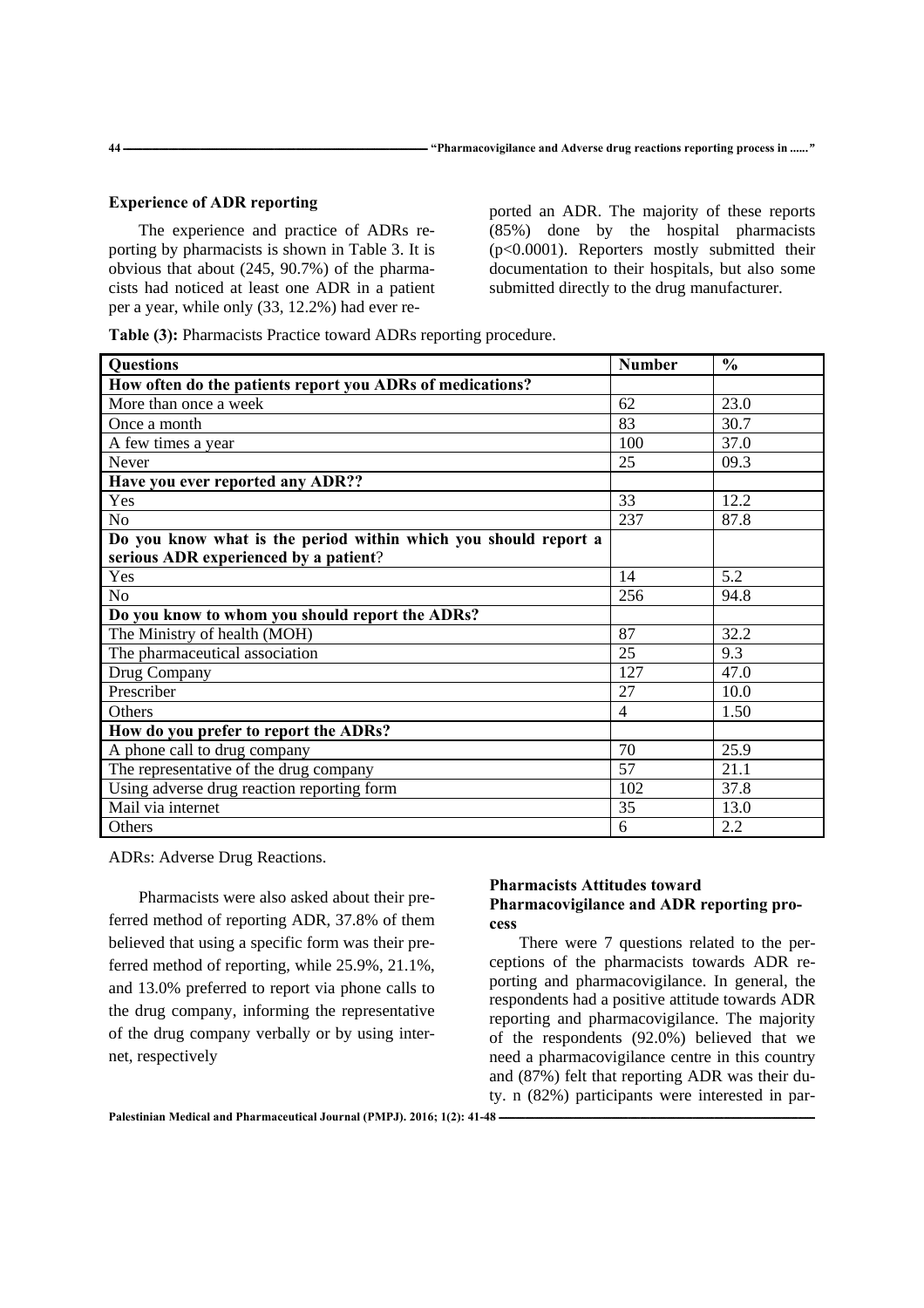# **Experience of ADR reporting**

The experience and practice of ADRs reporting by pharmacists is shown in Table 3. It is obvious that about (245, 90.7%) of the pharmacists had noticed at least one ADR in a patient per a year, while only (33, 12.2%) had ever reported an ADR. The majority of these reports (85%) done by the hospital pharmacists (p<0.0001). Reporters mostly submitted their documentation to their hospitals, but also some submitted directly to the drug manufacturer.

**Table (3):** Pharmacists Practice toward ADRs reporting procedure.

| <b>Questions</b>                                                | <b>Number</b>  | $\frac{0}{0}$ |
|-----------------------------------------------------------------|----------------|---------------|
| How often do the patients report you ADRs of medications?       |                |               |
| More than once a week                                           | 62             | 23.0          |
| Once a month                                                    | 83             | 30.7          |
| A few times a year                                              | 100            | 37.0          |
| <b>Never</b>                                                    | 25             | 09.3          |
| Have you ever reported any ADR??                                |                |               |
| Yes                                                             | 33             | 12.2          |
| N <sub>o</sub>                                                  | 237            | 87.8          |
| Do you know what is the period within which you should report a |                |               |
| serious ADR experienced by a patient?                           |                |               |
| Yes                                                             | 14             | 5.2           |
| N <sub>o</sub>                                                  | 256            | 94.8          |
| Do you know to whom you should report the ADRs?                 |                |               |
| The Ministry of health (MOH)                                    | 87             | 32.2          |
| The pharmaceutical association                                  | 25             | 9.3           |
| Drug Company                                                    | 127            | 47.0          |
| Prescriber                                                      | 27             | 10.0          |
| Others                                                          | $\overline{4}$ | 1.50          |
| How do you prefer to report the ADRs?                           |                |               |
| A phone call to drug company                                    | 70             | 25.9          |
| The representative of the drug company                          | 57             | 21.1          |
| Using adverse drug reaction reporting form                      | 102            | 37.8          |
| Mail via internet                                               | 35             | 13.0          |
| Others                                                          | 6              | 2.2           |

ADRs: Adverse Drug Reactions.

Pharmacists were also asked about their preferred method of reporting ADR, 37.8% of them believed that using a specific form was their preferred method of reporting, while 25.9%, 21.1%, and 13.0% preferred to report via phone calls to the drug company, informing the representative of the drug company verbally or by using internet, respectively

# **Pharmacists Attitudes toward Pharmacovigilance and ADR reporting process**

There were 7 questions related to the perceptions of the pharmacists towards ADR reporting and pharmacovigilance. In general, the respondents had a positive attitude towards ADR reporting and pharmacovigilance. The majority of the respondents (92.0%) believed that we need a pharmacovigilance centre in this country and (87%) felt that reporting ADR was their duty. n (82%) participants were interested in par-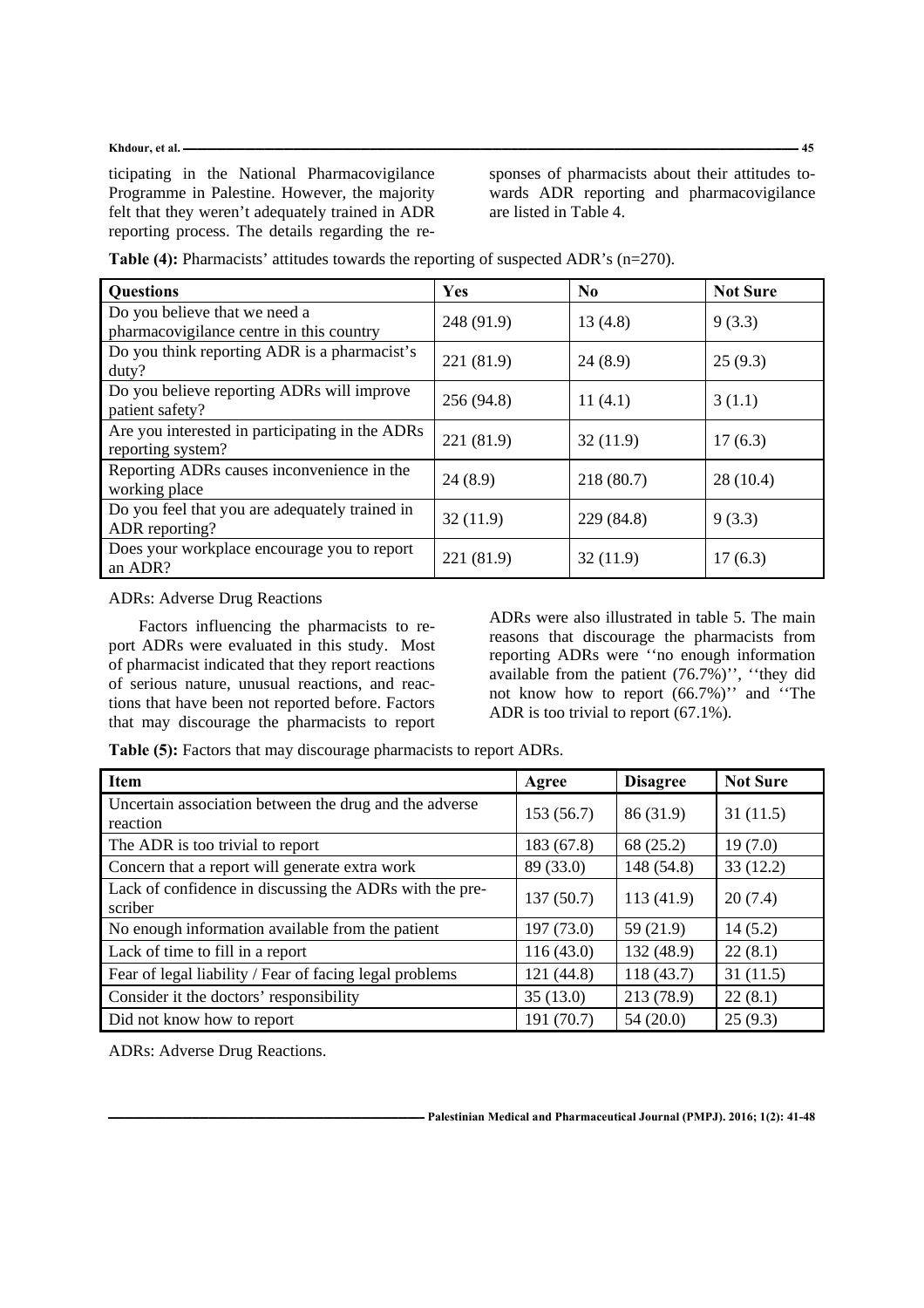## Khdour, et al. <u>2006 and 2007 and 2008 and 2008 and 2008 and 2008 and 2008 and 2008 and 2008 and 2008 and 2008 and 2008 and 2008 and 2008 and 2008 and 2008 and 2008 and 2008 and 2008 and 2008 and 2008 and 2008 and 2008 and</u>

ticipating in the National Pharmacovigilance Programme in Palestine. However, the majority felt that they weren't adequately trained in ADR reporting process. The details regarding the responses of pharmacists about their attitudes towards ADR reporting and pharmacovigilance are listed in Table 4.

| <b>Questions</b>                                                          | <b>Yes</b> | N <sub>0</sub> | <b>Not Sure</b> |
|---------------------------------------------------------------------------|------------|----------------|-----------------|
| Do you believe that we need a<br>pharmacovigilance centre in this country | 248 (91.9) | 13(4.8)        | 9(3.3)          |
| Do you think reporting ADR is a pharmacist's<br>duty?                     | 221 (81.9) | 24(8.9)        | 25(9.3)         |
| Do you believe reporting ADRs will improve<br>patient safety?             | 256 (94.8) | 11(4.1)        | 3(1.1)          |
| Are you interested in participating in the ADRs<br>reporting system?      | 221 (81.9) | 32(11.9)       | 17(6.3)         |
| Reporting ADRs causes inconvenience in the<br>working place               | 24(8.9)    | 218 (80.7)     | 28(10.4)        |
| Do you feel that you are adequately trained in<br>ADR reporting?          | 32(11.9)   | 229 (84.8)     | 9(3.3)          |
| Does your workplace encourage you to report<br>an ADR?                    | 221 (81.9) | 32(11.9)       | 17(6.3)         |

**Table (4):** Pharmacists' attitudes towards the reporting of suspected ADR's (n=270).

# ADRs: Adverse Drug Reactions

Factors influencing the pharmacists to report ADRs were evaluated in this study. Most of pharmacist indicated that they report reactions of serious nature, unusual reactions, and reactions that have been not reported before. Factors that may discourage the pharmacists to report

ADRs were also illustrated in table 5. The main reasons that discourage the pharmacists from reporting ADRs were ''no enough information available from the patient (76.7%)'', ''they did not know how to report (66.7%)'' and ''The ADR is too trivial to report (67.1%).

**Table (5):** Factors that may discourage pharmacists to report ADRs.

| <b>Item</b>                                                        | Agree      | <b>Disagree</b> | <b>Not Sure</b> |
|--------------------------------------------------------------------|------------|-----------------|-----------------|
| Uncertain association between the drug and the adverse<br>reaction | 153(56.7)  | 86 (31.9)       | 31(11.5)        |
| The ADR is too trivial to report                                   | 183 (67.8) | 68 (25.2)       | 19(7.0)         |
| Concern that a report will generate extra work                     | 89 (33.0)  | 148 (54.8)      | 33(12.2)        |
| Lack of confidence in discussing the ADRs with the pre-<br>scriber | 137(50.7)  | 113(41.9)       | 20(7.4)         |
| No enough information available from the patient                   | 197(73.0)  | 59 (21.9)       | 14(5.2)         |
| Lack of time to fill in a report                                   | 116(43.0)  | 132 (48.9)      | 22(8.1)         |
| Fear of legal liability / Fear of facing legal problems            | 121 (44.8) | 118 (43.7)      | 31(11.5)        |
| Consider it the doctors' responsibility                            | 35(13.0)   | 213 (78.9)      | 22(8.1)         |
| Did not know how to report                                         | 191 (70.7) | 54 (20.0)       | 25(9.3)         |

ADRs: Adverse Drug Reactions.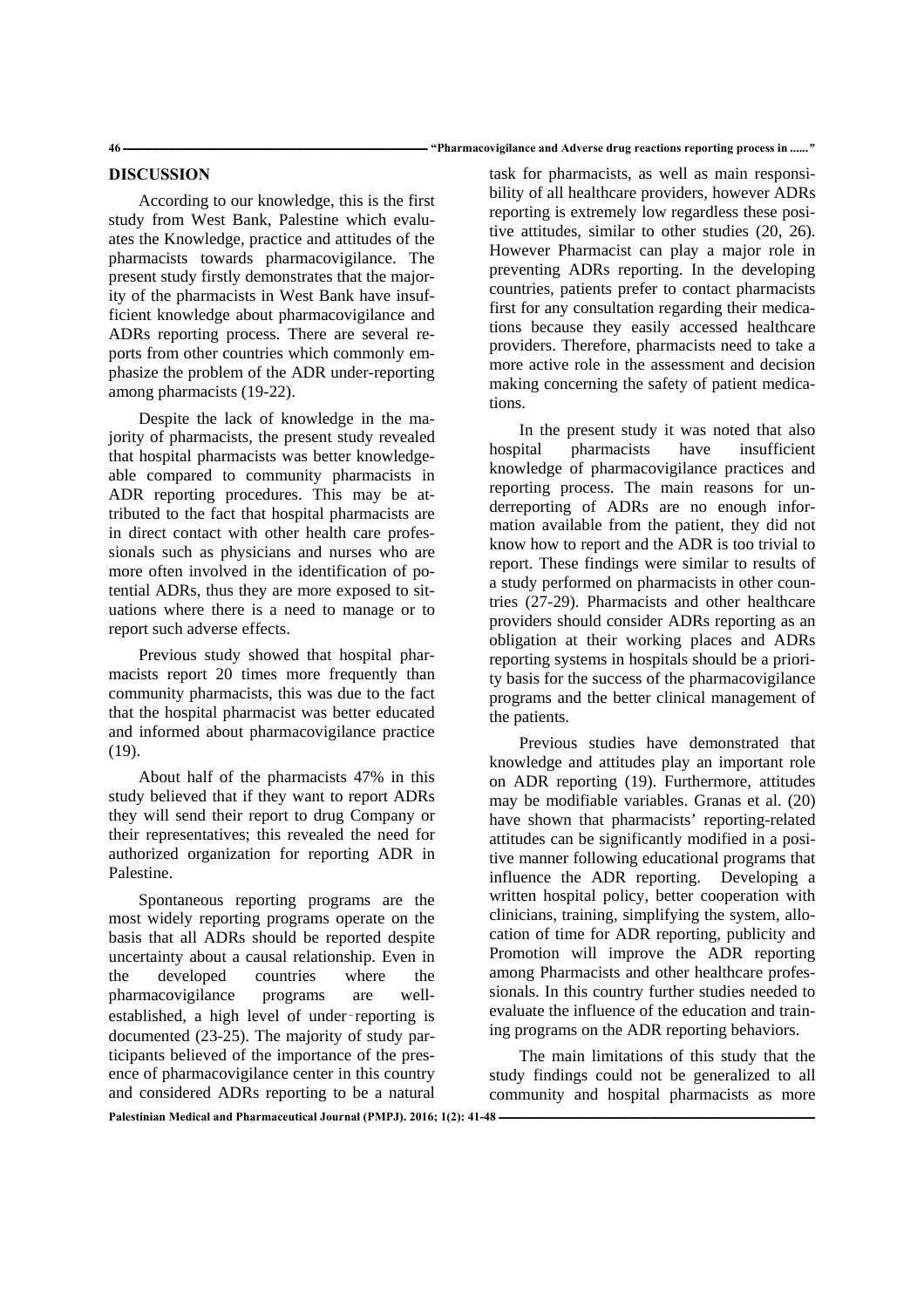## **DISCUSSION**

According to our knowledge, this is the first study from West Bank, Palestine which evaluates the Knowledge, practice and attitudes of the pharmacists towards pharmacovigilance. The present study firstly demonstrates that the majority of the pharmacists in West Bank have insufficient knowledge about pharmacovigilance and ADRs reporting process. There are several reports from other countries which commonly emphasize the problem of the ADR under-reporting among pharmacists (19-22).

Despite the lack of knowledge in the majority of pharmacists, the present study revealed that hospital pharmacists was better knowledgeable compared to community pharmacists in ADR reporting procedures. This may be attributed to the fact that hospital pharmacists are in direct contact with other health care professionals such as physicians and nurses who are more often involved in the identification of potential ADRs, thus they are more exposed to situations where there is a need to manage or to report such adverse effects.

Previous study showed that hospital pharmacists report 20 times more frequently than community pharmacists, this was due to the fact that the hospital pharmacist was better educated and informed about pharmacovigilance practice (19).

About half of the pharmacists 47% in this study believed that if they want to report ADRs they will send their report to drug Company or their representatives; this revealed the need for authorized organization for reporting ADR in Palestine.

Spontaneous reporting programs are the most widely reporting programs operate on the basis that all ADRs should be reported despite uncertainty about a causal relationship. Even in the developed countries where the pharmacovigilance programs are wellestablished, a high level of under‑reporting is documented (23-25). The majority of study participants believed of the importance of the presence of pharmacovigilance center in this country and considered ADRs reporting to be a natural

task for pharmacists, as well as main responsibility of all healthcare providers, however ADRs reporting is extremely low regardless these positive attitudes, similar to other studies (20, 26). However Pharmacist can play a major role in preventing ADRs reporting. In the developing countries, patients prefer to contact pharmacists first for any consultation regarding their medications because they easily accessed healthcare providers. Therefore, pharmacists need to take a more active role in the assessment and decision making concerning the safety of patient medications.

In the present study it was noted that also hospital pharmacists have insufficient knowledge of pharmacovigilance practices and reporting process. The main reasons for underreporting of ADRs are no enough information available from the patient, they did not know how to report and the ADR is too trivial to report. These findings were similar to results of a study performed on pharmacists in other countries (27-29). Pharmacists and other healthcare providers should consider ADRs reporting as an obligation at their working places and ADRs reporting systems in hospitals should be a priority basis for the success of the pharmacovigilance programs and the better clinical management of the patients.

Previous studies have demonstrated that knowledge and attitudes play an important role on ADR reporting (19). Furthermore, attitudes may be modifiable variables. Granas et al. (20) have shown that pharmacists' reporting-related attitudes can be significantly modified in a positive manner following educational programs that influence the ADR reporting. Developing a written hospital policy, better cooperation with clinicians, training, simplifying the system, allocation of time for ADR reporting, publicity and Promotion will improve the ADR reporting among Pharmacists and other healthcare professionals. In this country further studies needed to evaluate the influence of the education and training programs on the ADR reporting behaviors.

The main limitations of this study that the study findings could not be generalized to all community and hospital pharmacists as more

Palestinian Medical and Pharmaceutical Journal (PMPJ). 2016; 1(2): 41-48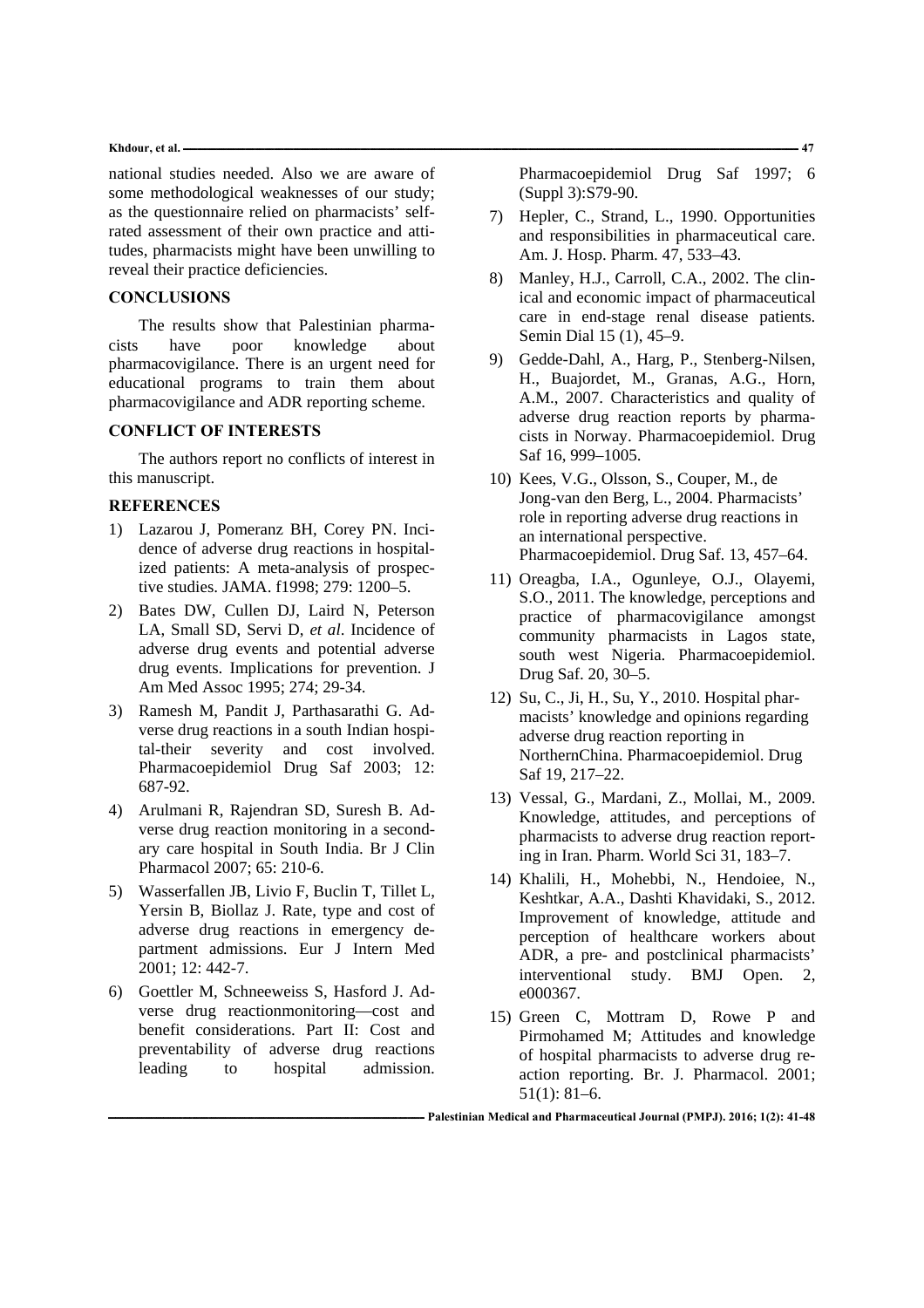#### **Khdour, et al. ـــــــــــــــــــــــــــــــــــــــــــــــــــــــــــــــــــــــــــــــــــــــــــــــــــــــــــــــــــــــــــــــــــــــــــــــــــــــــــــــــــــــــــــــــــــــــــــــــــــــــــــــــــــــــــــــــــــــــــــــــــــــــــــــــ 47**

national studies needed. Also we are aware of some methodological weaknesses of our study; as the questionnaire relied on pharmacists' selfrated assessment of their own practice and attitudes, pharmacists might have been unwilling to reveal their practice deficiencies.

# **CONCLUSIONS**

The results show that Palestinian pharmacists have poor knowledge about pharmacovigilance. There is an urgent need for educational programs to train them about pharmacovigilance and ADR reporting scheme.

# **CONFLICT OF INTERESTS**

The authors report no conflicts of interest in this manuscript.

## **REFERENCES**

- 1) Lazarou J, Pomeranz BH, Corey PN. Incidence of adverse drug reactions in hospitalized patients: A meta-analysis of prospective studies. JAMA. f1998; 279: 1200–5.
- 2) Bates DW, Cullen DJ, Laird N, Peterson LA, Small SD, Servi D, *et al*. Incidence of adverse drug events and potential adverse drug events. Implications for prevention. J Am Med Assoc 1995; 274; 29-34.
- 3) Ramesh M, Pandit J, Parthasarathi G. Adverse drug reactions in a south Indian hospital-their severity and cost involved. Pharmacoepidemiol Drug Saf 2003; 12: 687-92.
- 4) Arulmani R, Rajendran SD, Suresh B. Adverse drug reaction monitoring in a secondary care hospital in South India. Br J Clin Pharmacol 2007; 65: 210-6.
- 5) Wasserfallen JB, Livio F, Buclin T, Tillet L, Yersin B, Biollaz J. Rate, type and cost of adverse drug reactions in emergency department admissions. Eur J Intern Med 2001; 12: 442-7.
- 6) Goettler M, Schneeweiss S, Hasford J. Adverse drug reactionmonitoring—cost and benefit considerations. Part II: Cost and preventability of adverse drug reactions leading to hospital admission.

Pharmacoepidemiol Drug Saf 1997; 6 (Suppl 3):S79-90.

- 7) Hepler, C., Strand, L., 1990. Opportunities and responsibilities in pharmaceutical care. Am. J. Hosp. Pharm. 47, 533–43.
- 8) Manley, H.J., Carroll, C.A., 2002. The clinical and economic impact of pharmaceutical care in end-stage renal disease patients. Semin Dial 15 (1), 45–9.
- 9) Gedde-Dahl, A., Harg, P., Stenberg-Nilsen, H., Buajordet, M., Granas, A.G., Horn, A.M., 2007. Characteristics and quality of adverse drug reaction reports by pharmacists in Norway. Pharmacoepidemiol. Drug Saf 16, 999–1005.
- 10) Kees, V.G., Olsson, S., Couper, M., de Jong-van den Berg, L., 2004. Pharmacists' role in reporting adverse drug reactions in an international perspective. Pharmacoepidemiol. Drug Saf. 13, 457–64.
- 11) Oreagba, I.A., Ogunleye, O.J., Olayemi, S.O., 2011. The knowledge, perceptions and practice of pharmacovigilance amongst community pharmacists in Lagos state, south west Nigeria. Pharmacoepidemiol. Drug Saf. 20, 30–5.
- 12) Su, C., Ji, H., Su, Y., 2010. Hospital pharmacists' knowledge and opinions regarding adverse drug reaction reporting in NorthernChina. Pharmacoepidemiol. Drug Saf 19, 217–22.
- 13) Vessal, G., Mardani, Z., Mollai, M., 2009. Knowledge, attitudes, and perceptions of pharmacists to adverse drug reaction reporting in Iran. Pharm. World Sci 31, 183–7.
- 14) Khalili, H., Mohebbi, N., Hendoiee, N., Keshtkar, A.A., Dashti Khavidaki, S., 2012. Improvement of knowledge, attitude and perception of healthcare workers about ADR, a pre- and postclinical pharmacists' interventional study. BMJ Open. 2, e000367.
- 15) Green C, Mottram D, Rowe P and Pirmohamed M; Attitudes and knowledge of hospital pharmacists to adverse drug reaction reporting. Br. J. Pharmacol. 2001; 51(1): 81–6.

**ــــــــــــــــــــــــــــــــــــــــــــــــــــــــــــــــــــــــــــــــــــــــــــــــــــــــــــــــــــــــــــــــــــ Palestinian Medical and Pharmaceutical Journal (PMPJ). 2016; 1(2): 41-48**